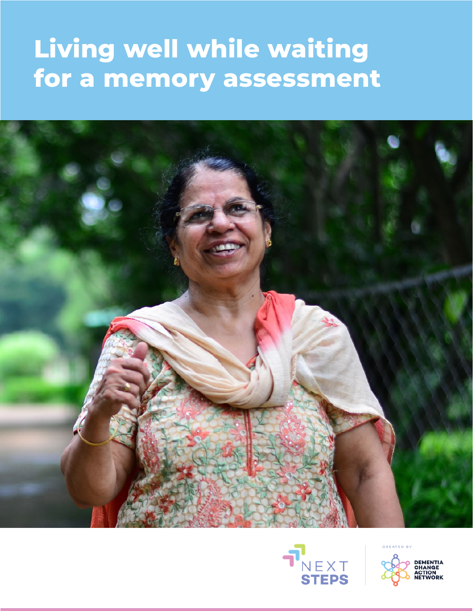# **Living well while waiting for a memory assessment**





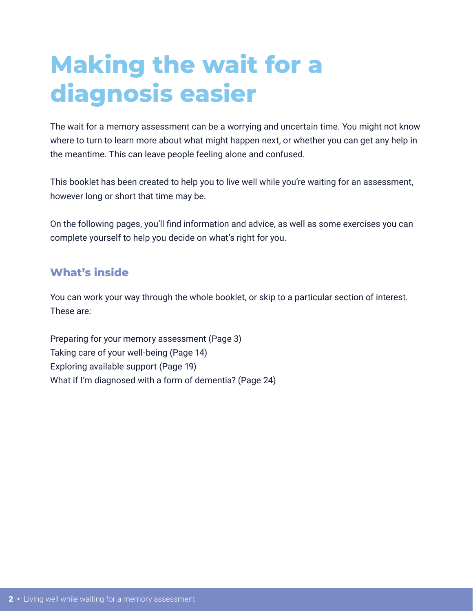# **Making the wait for a diagnosis easier**

The wait for a memory assessment can be a worrying and uncertain time. You might not know where to turn to learn more about what might happen next, or whether you can get any help in the meantime. This can leave people feeling alone and confused.

This booklet has been created to help you to live well while you're waiting for an assessment, however long or short that time may be.

On the following pages, you'll find information and advice, as well as some exercises you can complete yourself to help you decide on what's right for you.

## **What's inside**

You can work your way through the whole booklet, or skip to a particular section of interest. These are:

Preparing for your memory assessment (Page 3) Taking care of your well-being (Page 14) Exploring available support (Page 19) What if I'm diagnosed with a form of dementia? (Page 24)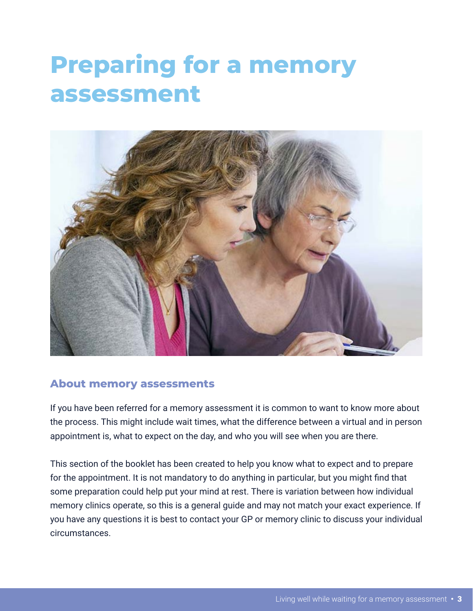# **Preparing for a memory assessment**



### **About memory assessments**

If you have been referred for a memory assessment it is common to want to know more about the process. This might include wait times, what the difference between a virtual and in person appointment is, what to expect on the day, and who you will see when you are there.

This section of the booklet has been created to help you know what to expect and to prepare for the appointment. It is not mandatory to do anything in particular, but you might find that some preparation could help put your mind at rest. There is variation between how individual memory clinics operate, so this is a general guide and may not match your exact experience. If you have any questions it is best to contact your GP or memory clinic to discuss your individual circumstances.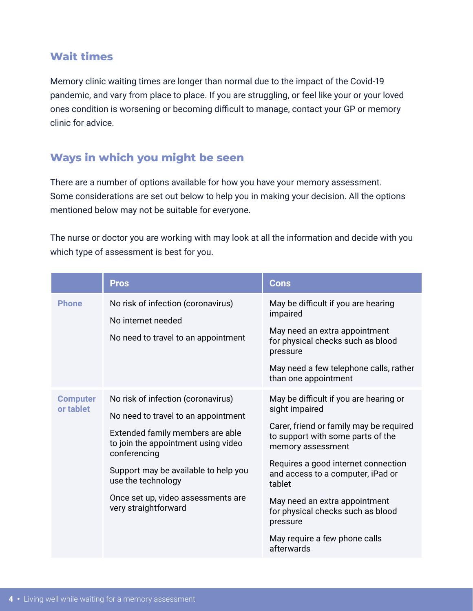### **Wait times**

Memory clinic waiting times are longer than normal due to the impact of the Covid-19 pandemic, and vary from place to place. If you are struggling, or feel like your or your loved ones condition is worsening or becoming difficult to manage, contact your GP or memory clinic for advice.

# **Ways in which you might be seen**

There are a number of options available for how you have your memory assessment. Some considerations are set out below to help you in making your decision. All the options mentioned below may not be suitable for everyone.

The nurse or doctor you are working with may look at all the information and decide with you which type of assessment is best for you.

|                              | <b>Pros</b>                                                                                                                                                                                                                                                                                      | <b>Cons</b>                                                                                                                                                                                                                                                                                                                                                                          |
|------------------------------|--------------------------------------------------------------------------------------------------------------------------------------------------------------------------------------------------------------------------------------------------------------------------------------------------|--------------------------------------------------------------------------------------------------------------------------------------------------------------------------------------------------------------------------------------------------------------------------------------------------------------------------------------------------------------------------------------|
| <b>Phone</b>                 | No risk of infection (coronavirus)<br>No internet needed<br>No need to travel to an appointment                                                                                                                                                                                                  | May be difficult if you are hearing<br>impaired<br>May need an extra appointment<br>for physical checks such as blood<br>pressure<br>May need a few telephone calls, rather<br>than one appointment                                                                                                                                                                                  |
| <b>Computer</b><br>or tablet | No risk of infection (coronavirus)<br>No need to travel to an appointment<br>Extended family members are able<br>to join the appointment using video<br>conferencing<br>Support may be available to help you<br>use the technology<br>Once set up, video assessments are<br>very straightforward | May be difficult if you are hearing or<br>sight impaired<br>Carer, friend or family may be required<br>to support with some parts of the<br>memory assessment<br>Requires a good internet connection<br>and access to a computer, iPad or<br>tablet<br>May need an extra appointment<br>for physical checks such as blood<br>pressure<br>May require a few phone calls<br>afterwards |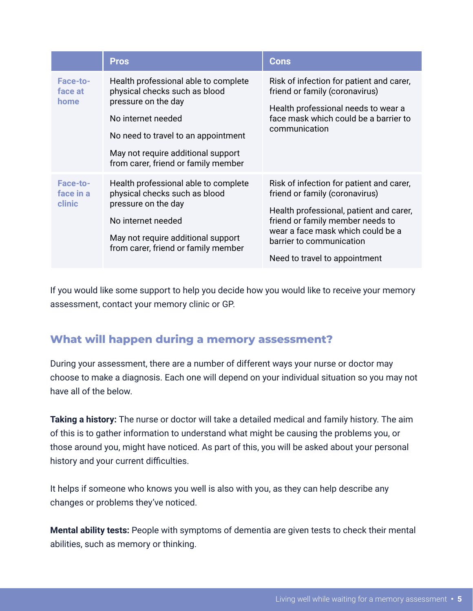|                                 | <b>Pros</b>                                                                                                                                                                                                                            | <b>Cons</b>                                                                                                                                                                                                                                                 |
|---------------------------------|----------------------------------------------------------------------------------------------------------------------------------------------------------------------------------------------------------------------------------------|-------------------------------------------------------------------------------------------------------------------------------------------------------------------------------------------------------------------------------------------------------------|
| Face-to-<br>face at<br>home     | Health professional able to complete<br>physical checks such as blood<br>pressure on the day<br>No internet needed<br>No need to travel to an appointment<br>May not require additional support<br>from carer, friend or family member | Risk of infection for patient and carer,<br>friend or family (coronavirus)<br>Health professional needs to wear a<br>face mask which could be a barrier to<br>communication                                                                                 |
| Face-to-<br>face in a<br>clinic | Health professional able to complete<br>physical checks such as blood<br>pressure on the day<br>No internet needed<br>May not require additional support<br>from carer, friend or family member                                        | Risk of infection for patient and carer,<br>friend or family (coronavirus)<br>Health professional, patient and carer,<br>friend or family member needs to<br>wear a face mask which could be a<br>barrier to communication<br>Need to travel to appointment |

If you would like some support to help you decide how you would like to receive your memory assessment, contact your memory clinic or GP.

## **What will happen during a memory assessment?**

During your assessment, there are a number of different ways your nurse or doctor may choose to make a diagnosis. Each one will depend on your individual situation so you may not have all of the below.

**Taking a history:** The nurse or doctor will take a detailed medical and family history. The aim of this is to gather information to understand what might be causing the problems you, or those around you, might have noticed. As part of this, you will be asked about your personal history and your current difficulties.

It helps if someone who knows you well is also with you, as they can help describe any changes or problems they've noticed.

**Mental ability tests:** People with symptoms of dementia are given tests to check their mental abilities, such as memory or thinking.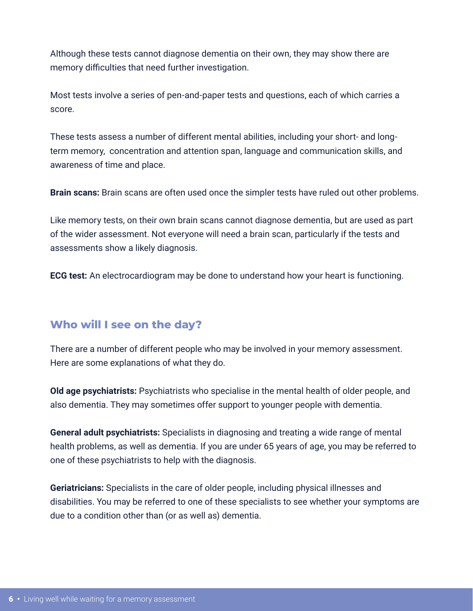Although these tests cannot diagnose dementia on their own, they may show there are memory difficulties that need further investigation.

Most tests involve a series of pen-and-paper tests and questions, each of which carries a score.

These tests assess a number of different mental abilities, including your short- and longterm memory, concentration and attention span, language and communication skills, and awareness of time and place.

**Brain scans:** Brain scans are often used once the simpler tests have ruled out other problems.

Like memory tests, on their own brain scans cannot diagnose dementia, but are used as part of the wider assessment. Not everyone will need a brain scan, particularly if the tests and assessments show a likely diagnosis.

**ECG test:** An electrocardiogram may be done to understand how your heart is functioning.

## **Who will I see on the day?**

There are a number of different people who may be involved in your memory assessment. Here are some explanations of what they do.

**Old age psychiatrists:** Psychiatrists who specialise in the mental health of older people, and also dementia. They may sometimes offer support to younger people with dementia.

**General adult psychiatrists:** Specialists in diagnosing and treating a wide range of mental health problems, as well as dementia. If you are under 65 years of age, you may be referred to one of these psychiatrists to help with the diagnosis.

**Geriatricians:** Specialists in the care of older people, including physical illnesses and disabilities. You may be referred to one of these specialists to see whether your symptoms are due to a condition other than (or as well as) dementia.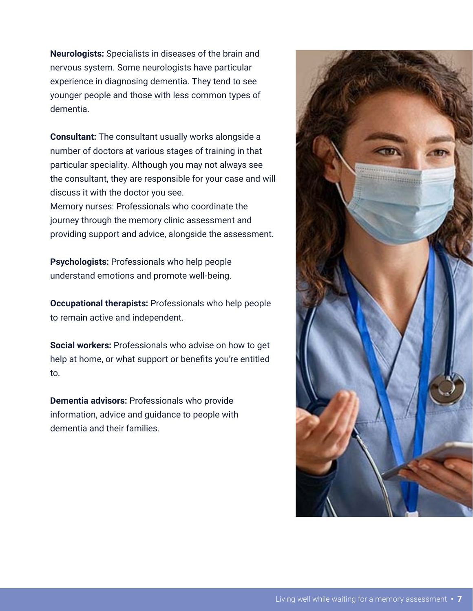**Neurologists:** Specialists in diseases of the brain and nervous system. Some neurologists have particular experience in diagnosing dementia. They tend to see younger people and those with less common types of dementia.

**Consultant:** The consultant usually works alongside a number of doctors at various stages of training in that particular speciality. Although you may not always see the consultant, they are responsible for your case and will discuss it with the doctor you see. Memory nurses: Professionals who coordinate the journey through the memory clinic assessment and

providing support and advice, alongside the assessment.

**Psychologists:** Professionals who help people understand emotions and promote well-being.

**Occupational therapists:** Professionals who help people to remain active and independent.

**Social workers:** Professionals who advise on how to get help at home, or what support or benefits you're entitled to.

**Dementia advisors:** Professionals who provide information, advice and guidance to people with dementia and their families.

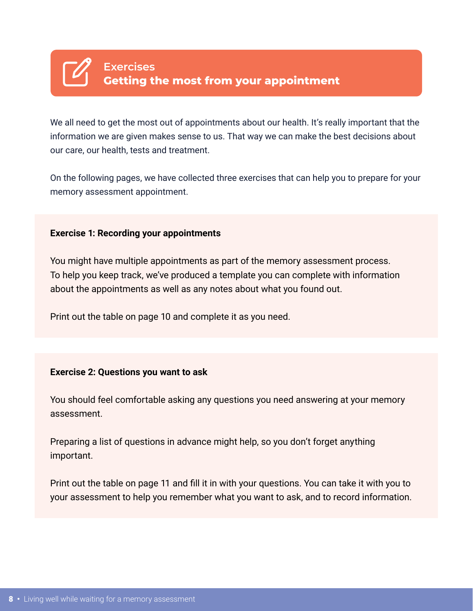

We all need to get the most out of appointments about our health. It's really important that the information we are given makes sense to us. That way we can make the best decisions about our care, our health, tests and treatment.

On the following pages, we have collected three exercises that can help you to prepare for your memory assessment appointment.

#### **Exercise 1: Recording your appointments**

You might have multiple appointments as part of the memory assessment process. To help you keep track, we've produced a template you can complete with information about the appointments as well as any notes about what you found out.

Print out the table on page 10 and complete it as you need.

#### **Exercise 2: Questions you want to ask**

You should feel comfortable asking any questions you need answering at your memory assessment.

Preparing a list of questions in advance might help, so you don't forget anything important.

Print out the table on page 11 and fill it in with your questions. You can take it with you to your assessment to help you remember what you want to ask, and to record information.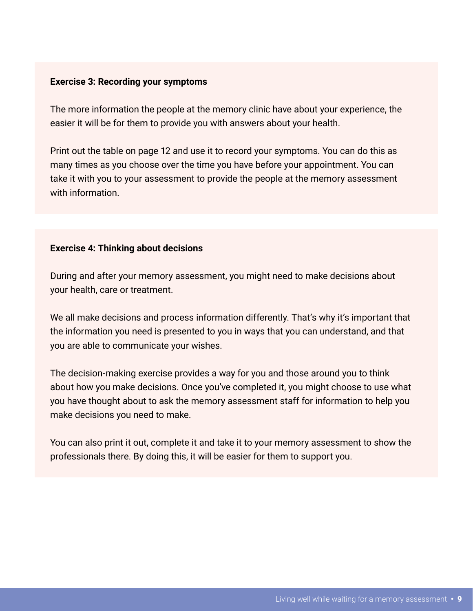#### **Exercise 3: Recording your symptoms**

The more information the people at the memory clinic have about your experience, the easier it will be for them to provide you with answers about your health.

Print out the table on page 12 and use it to record your symptoms. You can do this as many times as you choose over the time you have before your appointment. You can take it with you to your assessment to provide the people at the memory assessment with information.

#### **Exercise 4: Thinking about decisions**

During and after your memory assessment, you might need to make decisions about your health, care or treatment.

We all make decisions and process information differently. That's why it's important that the information you need is presented to you in ways that you can understand, and that you are able to communicate your wishes.

The decision-making exercise provides a way for you and those around you to think about how you make decisions. Once you've completed it, you might choose to use what you have thought about to ask the memory assessment staff for information to help you make decisions you need to make.

You can also print it out, complete it and take it to your memory assessment to show the professionals there. By doing this, it will be easier for them to support you.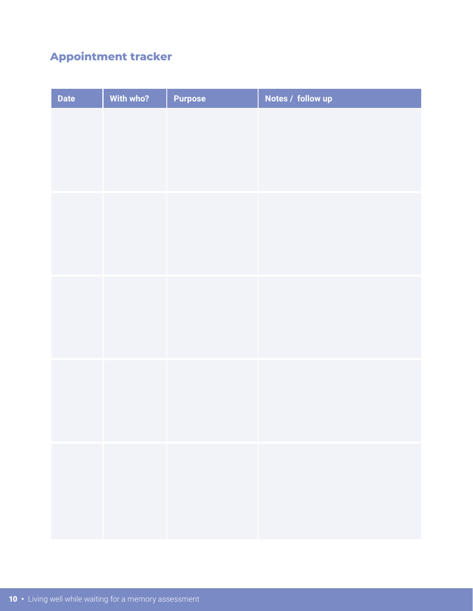# **Appointment tracker**

| <b>Date</b> | With who? | <b>Purpose</b> | Notes / follow up |
|-------------|-----------|----------------|-------------------|
|             |           |                |                   |
|             |           |                |                   |
|             |           |                |                   |
|             |           |                |                   |
|             |           |                |                   |
|             |           |                |                   |
|             |           |                |                   |
|             |           |                |                   |
|             |           |                |                   |
|             |           |                |                   |
|             |           |                |                   |
|             |           |                |                   |
|             |           |                |                   |
|             |           |                |                   |
|             |           |                |                   |
|             |           |                |                   |
|             |           |                |                   |
|             |           |                |                   |
|             |           |                |                   |
|             |           |                |                   |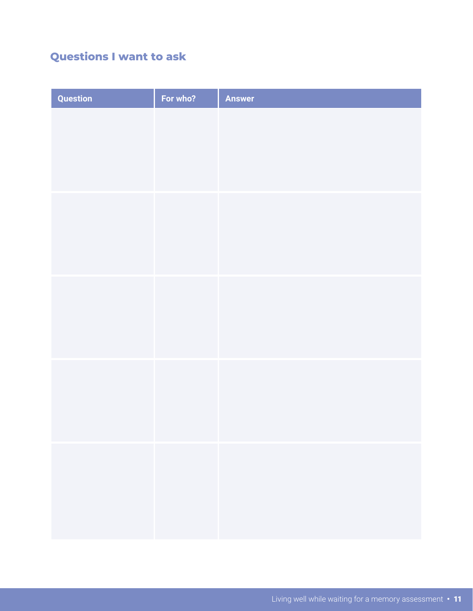# **Questions I want to ask**

| Question | For who? | <b>Answer</b> |
|----------|----------|---------------|
|          |          |               |
|          |          |               |
|          |          |               |
|          |          |               |
|          |          |               |
|          |          |               |
|          |          |               |
|          |          |               |
|          |          |               |
|          |          |               |
|          |          |               |
|          |          |               |
|          |          |               |
|          |          |               |
|          |          |               |
|          |          |               |
|          |          |               |
|          |          |               |
|          |          |               |
|          |          |               |
|          |          |               |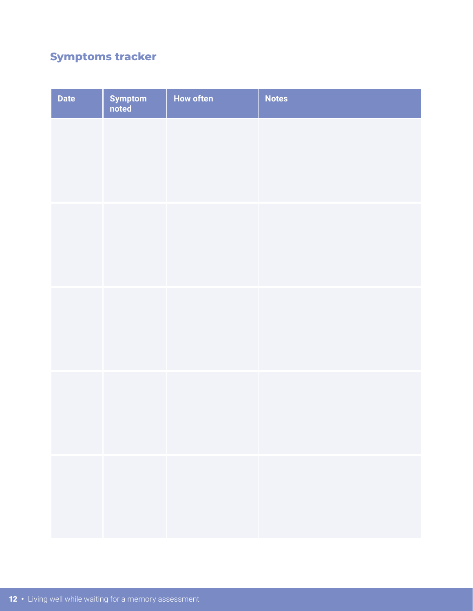# **Symptoms tracker**

| <b>Date</b> | Symptom<br>noted | <b>How often</b> | <b>Notes</b> |
|-------------|------------------|------------------|--------------|
|             |                  |                  |              |
|             |                  |                  |              |
|             |                  |                  |              |
|             |                  |                  |              |
|             |                  |                  |              |
|             |                  |                  |              |
|             |                  |                  |              |
|             |                  |                  |              |
|             |                  |                  |              |
|             |                  |                  |              |
|             |                  |                  |              |
|             |                  |                  |              |
|             |                  |                  |              |
|             |                  |                  |              |
|             |                  |                  |              |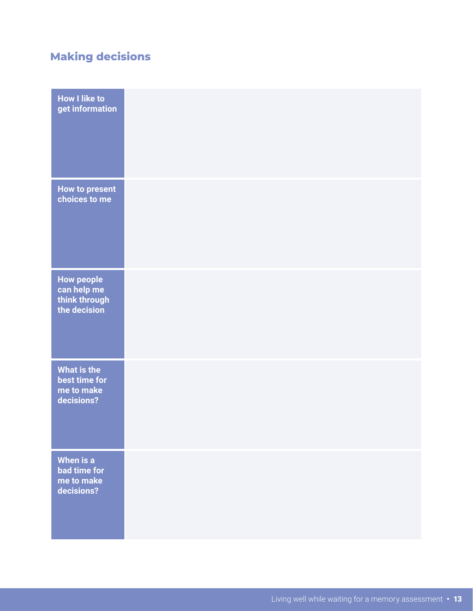# **Making decisions**

| <b>How I like to</b><br>get information                           |  |
|-------------------------------------------------------------------|--|
| <b>How to present</b><br>choices to me                            |  |
| <b>How people</b><br>can help me<br>think through<br>the decision |  |
| <b>What is the</b><br>best time for<br>me to make<br>decisions?   |  |
| When is a<br>bad time for<br>me to make<br>decisions?             |  |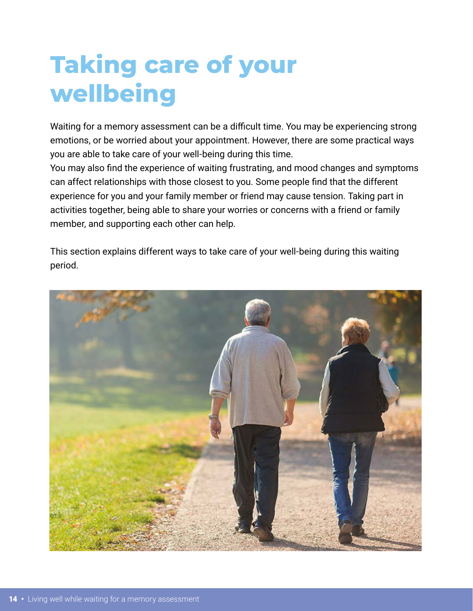# **Taking care of your wellbeing**

Waiting for a memory assessment can be a difficult time. You may be experiencing strong emotions, or be worried about your appointment. However, there are some practical ways you are able to take care of your well-being during this time.

You may also find the experience of waiting frustrating, and mood changes and symptoms can affect relationships with those closest to you. Some people find that the different experience for you and your family member or friend may cause tension. Taking part in activities together, being able to share your worries or concerns with a friend or family member, and supporting each other can help.

This section explains different ways to take care of your well-being during this waiting period.

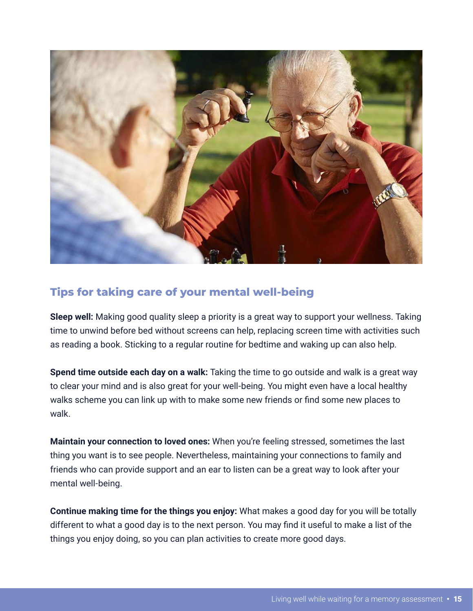

## **Tips for taking care of your mental well-being**

**Sleep well:** Making good quality sleep a priority is a great way to support your wellness. Taking time to unwind before bed without screens can help, replacing screen time with activities such as reading a book. Sticking to a regular routine for bedtime and waking up can also help.

**Spend time outside each day on a walk:** Taking the time to go outside and walk is a great way to clear your mind and is also great for your well-being. You might even have a local healthy walks scheme you can link up with to make some new friends or find some new places to walk.

**Maintain your connection to loved ones:** When you're feeling stressed, sometimes the last thing you want is to see people. Nevertheless, maintaining your connections to family and friends who can provide support and an ear to listen can be a great way to look after your mental well-being.

**Continue making time for the things you enjoy:** What makes a good day for you will be totally different to what a good day is to the next person. You may find it useful to make a list of the things you enjoy doing, so you can plan activities to create more good days.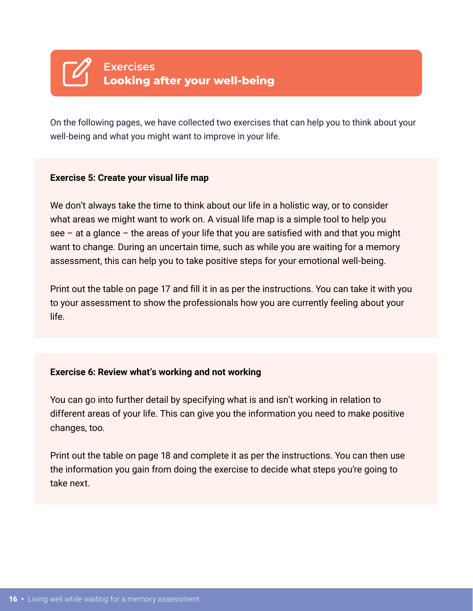

On the following pages, we have collected two exercises that can help you to think about your well-being and what you might want to improve in your life.

#### **Exercise 5: Create your visual life map**

We don't always take the time to think about our life in a holistic way, or to consider what areas we might want to work on. A visual life map is a simple tool to help you see – at a glance – the areas of your life that you are satisfied with and that you might want to change. During an uncertain time, such as while you are waiting for a memory assessment, this can help you to take positive steps for your emotional well-being.

Print out the table on page 17 and fill it in as per the instructions. You can take it with you to your assessment to show the professionals how you are currently feeling about your life.

#### **Exercise 6: Review what's working and not working**

You can go into further detail by specifying what is and isn't working in relation to different areas of your life. This can give you the information you need to make positive changes, too.

Print out the table on page 18 and complete it as per the instructions. You can then use the information you gain from doing the exercise to decide what steps you're going to take next.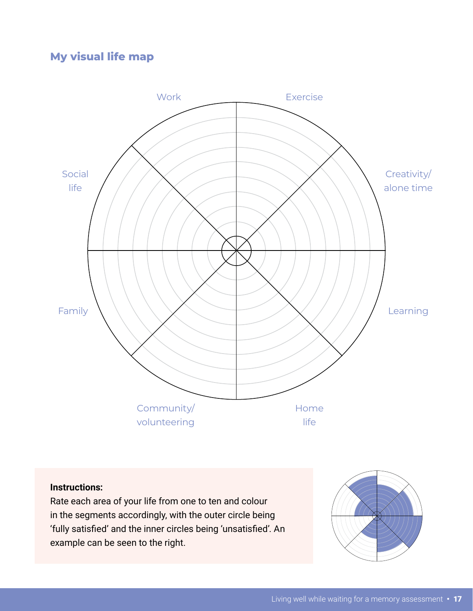## **My visual life map**



#### **Instructions:**

Rate each area of your life from one to ten and colour in the segments accordingly, with the outer circle being 'fully satisfied' and the inner circles being 'unsatisfied'. An example can be seen to the right.

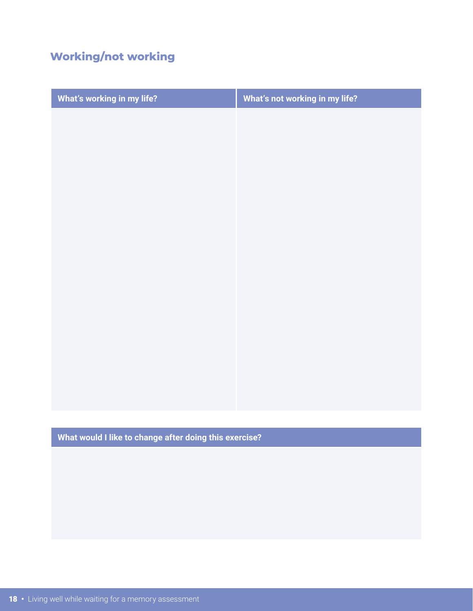# **Working/not working**

| What's working in my life? | What's not working in my life? |
|----------------------------|--------------------------------|
|                            |                                |
|                            |                                |
|                            |                                |
|                            |                                |
|                            |                                |
|                            |                                |
|                            |                                |
|                            |                                |
|                            |                                |
|                            |                                |
|                            |                                |
|                            |                                |
|                            |                                |
|                            |                                |
|                            |                                |

**What would I like to change after doing this exercise?**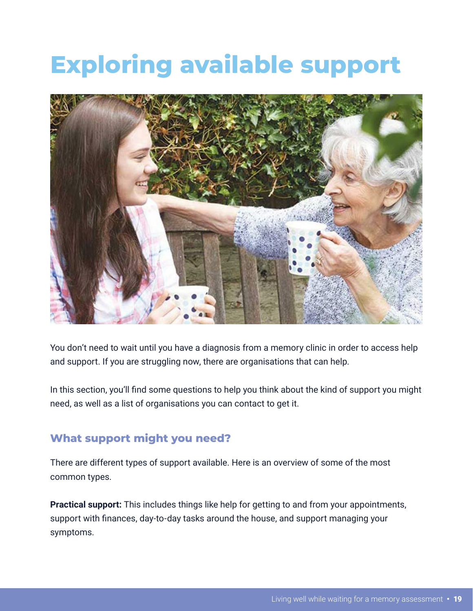# **Exploring available support**



You don't need to wait until you have a diagnosis from a memory clinic in order to access help and support. If you are struggling now, there are organisations that can help.

In this section, you'll find some questions to help you think about the kind of support you might need, as well as a list of organisations you can contact to get it.

### **What support might you need?**

There are different types of support available. Here is an overview of some of the most common types.

**Practical support:** This includes things like help for getting to and from your appointments, support with finances, day-to-day tasks around the house, and support managing your symptoms.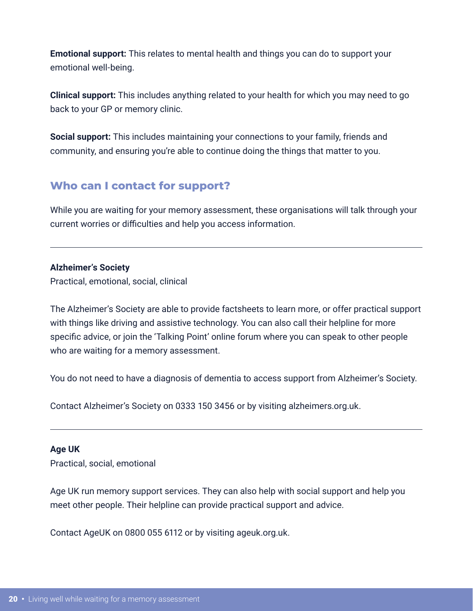**Emotional support:** This relates to mental health and things you can do to support your emotional well-being.

**Clinical support:** This includes anything related to your health for which you may need to go back to your GP or memory clinic.

**Social support:** This includes maintaining your connections to your family, friends and community, and ensuring you're able to continue doing the things that matter to you.

## **Who can I contact for support?**

While you are waiting for your memory assessment, these organisations will talk through your current worries or difficulties and help you access information.

#### **Alzheimer's Society**

Practical, emotional, social, clinical

The Alzheimer's Society are able to provide factsheets to learn more, or offer practical support with things like driving and assistive technology. You can also call their helpline for more specific advice, or join the 'Talking Point' online forum where you can speak to other people who are waiting for a memory assessment.

You do not need to have a diagnosis of dementia to access support from Alzheimer's Society.

Contact Alzheimer's Society on 0333 150 3456 or by visiting alzheimers.org.uk.

#### **Age UK**

Practical, social, emotional

Age UK run memory support services. They can also help with social support and help you meet other people. Their helpline can provide practical support and advice.

Contact AgeUK on 0800 055 6112 or by visiting ageuk.org.uk.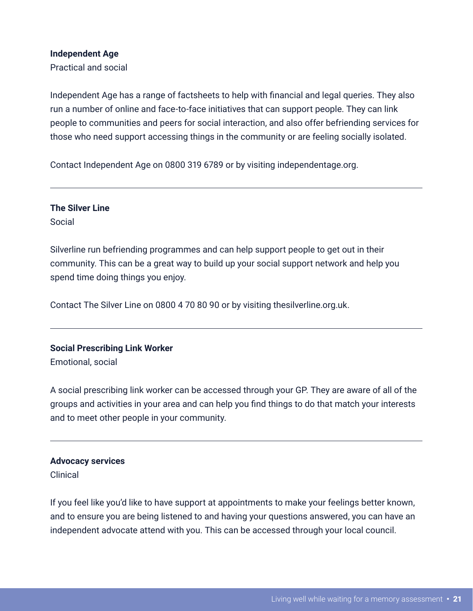#### **Independent Age**

Practical and social

Independent Age has a range of factsheets to help with financial and legal queries. They also run a number of online and face-to-face initiatives that can support people. They can link people to communities and peers for social interaction, and also offer befriending services for those who need support accessing things in the community or are feeling socially isolated.

Contact Independent Age on 0800 319 6789 or by visiting independentage.org.

#### **The Silver Line**

Social

Silverline run befriending programmes and can help support people to get out in their community. This can be a great way to build up your social support network and help you spend time doing things you enjoy.

Contact The Silver Line on 0800 4 70 80 90 or by visiting thesilverline.org.uk.

#### **Social Prescribing Link Worker**

Emotional, social

A social prescribing link worker can be accessed through your GP. They are aware of all of the groups and activities in your area and can help you find things to do that match your interests and to meet other people in your community.

#### **Advocacy services**

Clinical

If you feel like you'd like to have support at appointments to make your feelings better known, and to ensure you are being listened to and having your questions answered, you can have an independent advocate attend with you. This can be accessed through your local council.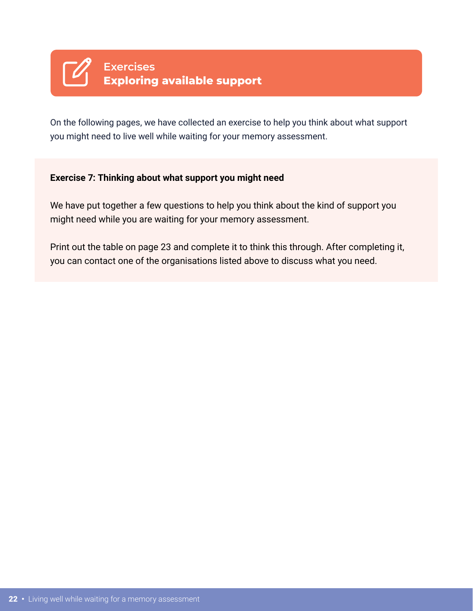

On the following pages, we have collected an exercise to help you think about what support you might need to live well while waiting for your memory assessment.

#### **Exercise 7: Thinking about what support you might need**

We have put together a few questions to help you think about the kind of support you might need while you are waiting for your memory assessment.

Print out the table on page 23 and complete it to think this through. After completing it, you can contact one of the organisations listed above to discuss what you need.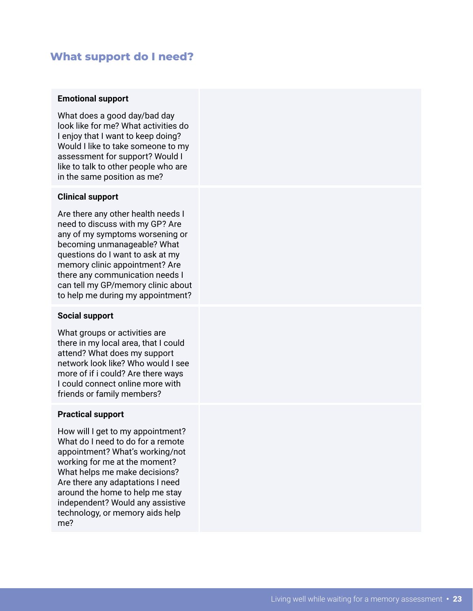### **What support do I need?**

#### **Emotional support**

What does a good day/bad day look like for me? What activities do I enjoy that I want to keep doing? Would I like to take someone to my assessment for support? Would I like to talk to other people who are in the same position as me?

#### **Clinical support**

Are there any other health needs I need to discuss with my GP? Are any of my symptoms worsening or becoming unmanageable? What questions do I want to ask at my memory clinic appointment? Are there any communication needs I can tell my GP/memory clinic about to help me during my appointment?

#### **Social support**

What groups or activities are there in my local area, that I could attend? What does my support network look like? Who would I see more of if i could? Are there ways I could connect online more with friends or family members?

#### **Practical support**

How will I get to my appointment? What do I need to do for a remote appointment? What's working/not working for me at the moment? What helps me make decisions? Are there any adaptations I need around the home to help me stay independent? Would any assistive technology, or memory aids help me?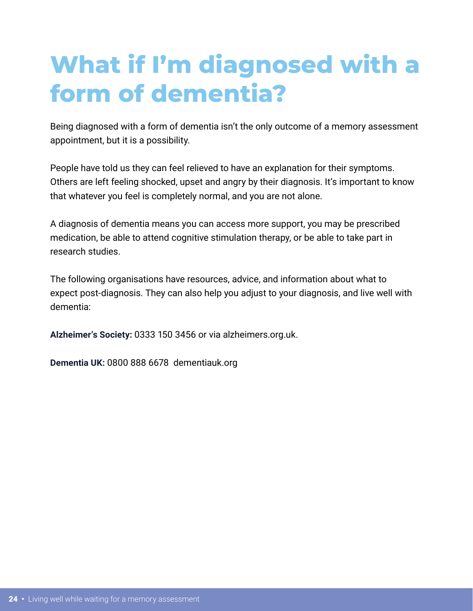# **What if I'm diagnosed with a form of dementia?**

Being diagnosed with a form of dementia isn't the only outcome of a memory assessment appointment, but it is a possibility.

People have told us they can feel relieved to have an explanation for their symptoms. Others are left feeling shocked, upset and angry by their diagnosis. It's important to know that whatever you feel is completely normal, and you are not alone.

A diagnosis of dementia means you can access more support, you may be prescribed medication, be able to attend cognitive stimulation therapy, or be able to take part in research studies.

The following organisations have resources, advice, and information about what to expect post-diagnosis. They can also help you adjust to your diagnosis, and live well with dementia:

**Alzheimer's Society:** 0333 150 3456 or via alzheimers.org.uk.

**Dementia UK:** 0800 888 6678 dementiauk.org